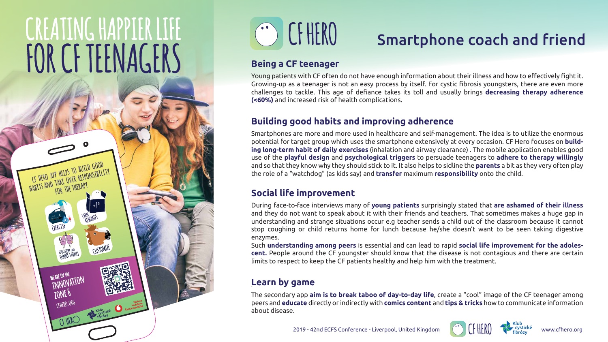# KEATING HAPPIER L! FOR CF TEENAGERS

**+19**

**cf hero app helps to build good**  HABITS AND TAKE OVER RESPONSIBILITY **for the therapy**

WE ARE IN THE

JONE P CFHERO.ORG

INNOVATION



# Smartphone coach and friend

#### **Being a CF teenager**

Young patients with CF often do not have enough information about their illness and how to effectively fight it. Growing-up as a teenager is not an easy process by itself. For cystic fibrosis youngsters, there are even more challenges to tackle. This age of defiance takes its toll and usually brings **decreasing therapy adherence (<60%)** and increased risk of health complications.

#### **Building good habits and improving adherence**

Smartphones are more and more used in healthcare and self-management. The idea is to utilize the enormous potential for target group which uses the smartphone extensively at every occasion. CF Hero focuses on **building long-term habit of daily exercises** (inhalation and airway clearance) . The mobile application enables good use of the **playful design** and **psychological triggers** to persuade teenagers to **adhere to therapy willingly** and so that they know why they should stick to it. It also helps to sidline the **parents** a bit as they very often play the role of a "watchdog" (as kids say) and **transfer** maximum **responsibility** onto the child.

#### **Social life improvement**

During face-to-face interviews many of **young patients** surprisingly stated that **are ashamed of their illness** and they do not want to speak about it with their friends and teachers. That sometimes makes a huge gap in understanding and strange situations occur e.g teacher sends a child out of the classroom because it cannot stop coughing or child returns home for lunch because he/she doesn't want to be seen taking digestive enzymes.

Such **understanding among peers** is essential and can lead to rapid **social life improvement for the adolescent.** People around the CF youngster should know that the disease is not contagious and there are certain limits to respect to keep the CF patients healthy and help him with the treatment.

#### Learn by game

The secondary app **aim is to break taboo of day-to-day life**, create a "cool" image of the CF teenager among peers and **educate** directly or indirectly with **comics content** and **tips & tricks** how to communicate information about disease.







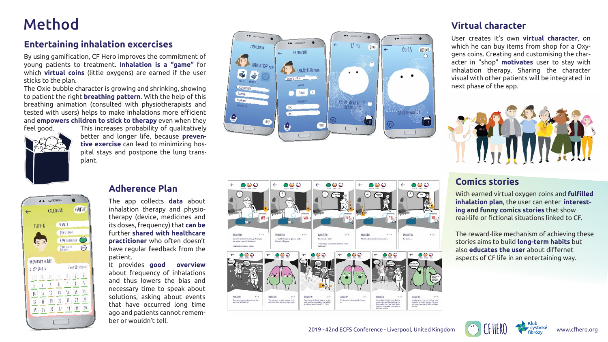## Method

#### **Entertaining inhalation excercises**

By using gamification, CF Hero improves the commitment of young patients to treatment. **Inhalation is a "game"** for which **virtual coins** (little oxygens) are earned if the user sticks to the plan.

The Oxie bubble character is growing and shrinking, showing to patient the right **breathing pattern**. With the help of this breathing animation (consulted with physiotherapists and tested with users) helps to make inhalations more efficient and **empowers children to stick to therapy** even when they feel good.



#### **Adherence Plan**

The app collects **data** about inhalation therapy and physiotherapy (device, medicines and its doses, frequency) that **can be** further **shared with healthcare practitioner** who often doesn't have regular feedback from the patient.

It provides **good overview** about frequency of inhalations and thus lowers the bias and necessary time to speak about solutions, asking about events that have occurred long time ago and patients cannot remember or wouldn't tell.



#### **Virtual character**

User creates it's own **virtual character**, on which he can buy items from shop for a Oxygens coins. Creating and customising the character in "shop" **motivates** user to stay with inhalation therapy. Sharing the character visual with other patients will be integrated in next phase of the app.





#### **Comics stories**

With earned virtual oxygen coins and **fulfilled inhalation plan**, the user can enter **interesting and funny comics stories** that show real-life or fictional situations linked to CF.





The reward-like mechanism of achieving these stories aims to build **long-term habits** but also **educates the user** about differnet aspects of CF life in an entertaining way.

This increases probability of qualitatively better and longer life, because **preventive exercise** can lead to minimizing hospital stays and postpone the lung transplant.